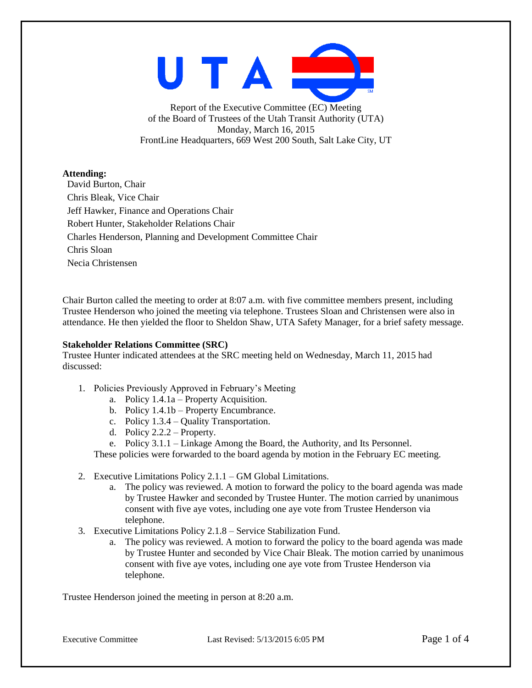UTAI

Report of the Executive Committee (EC) Meeting of the Board of Trustees of the Utah Transit Authority (UTA) Monday, March 16, 2015 FrontLine Headquarters, 669 West 200 South, Salt Lake City, UT

## **Attending:**

David Burton, Chair Chris Bleak, Vice Chair Jeff Hawker, Finance and Operations Chair Robert Hunter, Stakeholder Relations Chair Charles Henderson, Planning and Development Committee Chair Chris Sloan Necia Christensen

Chair Burton called the meeting to order at 8:07 a.m. with five committee members present, including Trustee Henderson who joined the meeting via telephone. Trustees Sloan and Christensen were also in attendance. He then yielded the floor to Sheldon Shaw, UTA Safety Manager, for a brief safety message.

## **Stakeholder Relations Committee (SRC)**

Trustee Hunter indicated attendees at the SRC meeting held on Wednesday, March 11, 2015 had discussed:

- 1. Policies Previously Approved in February's Meeting
	- a. Policy 1.4.1a Property Acquisition.
	- b. Policy 1.4.1b Property Encumbrance.
	- c. Policy 1.3.4 Quality Transportation.
	- d. Policy 2.2.2 Property.

e. Policy 3.1.1 – Linkage Among the Board, the Authority, and Its Personnel.

These policies were forwarded to the board agenda by motion in the February EC meeting.

- 2. Executive Limitations Policy 2.1.1 GM Global Limitations.
	- a. The policy was reviewed. A motion to forward the policy to the board agenda was made by Trustee Hawker and seconded by Trustee Hunter. The motion carried by unanimous consent with five aye votes, including one aye vote from Trustee Henderson via telephone.
- 3. Executive Limitations Policy 2.1.8 Service Stabilization Fund.
	- a. The policy was reviewed. A motion to forward the policy to the board agenda was made by Trustee Hunter and seconded by Vice Chair Bleak. The motion carried by unanimous consent with five aye votes, including one aye vote from Trustee Henderson via telephone.

Trustee Henderson joined the meeting in person at 8:20 a.m.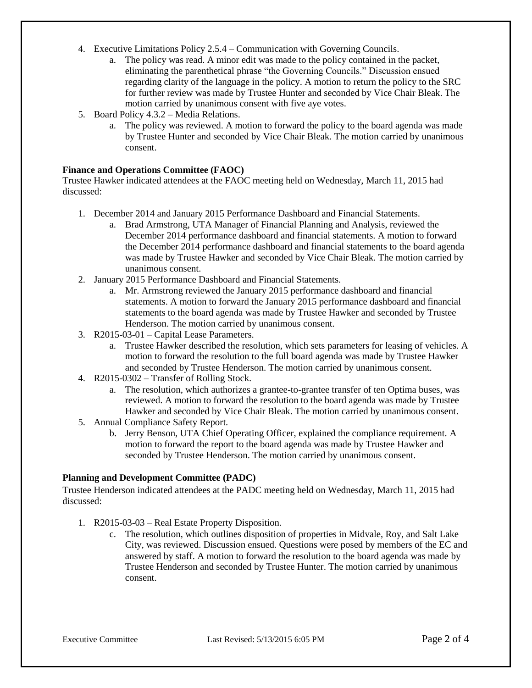- 4. Executive Limitations Policy 2.5.4 Communication with Governing Councils.
	- a. The policy was read. A minor edit was made to the policy contained in the packet, eliminating the parenthetical phrase "the Governing Councils." Discussion ensued regarding clarity of the language in the policy. A motion to return the policy to the SRC for further review was made by Trustee Hunter and seconded by Vice Chair Bleak. The motion carried by unanimous consent with five aye votes.
- 5. Board Policy 4.3.2 Media Relations.
	- a. The policy was reviewed. A motion to forward the policy to the board agenda was made by Trustee Hunter and seconded by Vice Chair Bleak. The motion carried by unanimous consent.

## **Finance and Operations Committee (FAOC)**

Trustee Hawker indicated attendees at the FAOC meeting held on Wednesday, March 11, 2015 had discussed:

- 1. December 2014 and January 2015 Performance Dashboard and Financial Statements.
	- a. Brad Armstrong, UTA Manager of Financial Planning and Analysis, reviewed the December 2014 performance dashboard and financial statements. A motion to forward the December 2014 performance dashboard and financial statements to the board agenda was made by Trustee Hawker and seconded by Vice Chair Bleak. The motion carried by unanimous consent.
- 2. January 2015 Performance Dashboard and Financial Statements.
	- a. Mr. Armstrong reviewed the January 2015 performance dashboard and financial statements. A motion to forward the January 2015 performance dashboard and financial statements to the board agenda was made by Trustee Hawker and seconded by Trustee Henderson. The motion carried by unanimous consent.
- 3. R2015-03-01 Capital Lease Parameters.
	- a. Trustee Hawker described the resolution, which sets parameters for leasing of vehicles. A motion to forward the resolution to the full board agenda was made by Trustee Hawker and seconded by Trustee Henderson. The motion carried by unanimous consent.
- 4. R2015-0302 Transfer of Rolling Stock.
	- a. The resolution, which authorizes a grantee-to-grantee transfer of ten Optima buses, was reviewed. A motion to forward the resolution to the board agenda was made by Trustee Hawker and seconded by Vice Chair Bleak. The motion carried by unanimous consent.
- 5. Annual Compliance Safety Report.
	- b. Jerry Benson, UTA Chief Operating Officer, explained the compliance requirement. A motion to forward the report to the board agenda was made by Trustee Hawker and seconded by Trustee Henderson. The motion carried by unanimous consent.

## **Planning and Development Committee (PADC)**

Trustee Henderson indicated attendees at the PADC meeting held on Wednesday, March 11, 2015 had discussed:

- 1. R2015-03-03 Real Estate Property Disposition.
	- c. The resolution, which outlines disposition of properties in Midvale, Roy, and Salt Lake City, was reviewed. Discussion ensued. Questions were posed by members of the EC and answered by staff. A motion to forward the resolution to the board agenda was made by Trustee Henderson and seconded by Trustee Hunter. The motion carried by unanimous consent.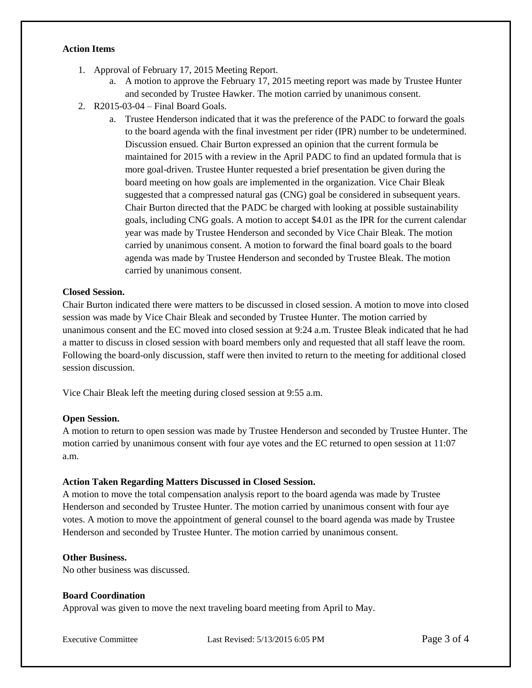#### **Action Items**

- 1. Approval of February 17, 2015 Meeting Report.
	- a. A motion to approve the February 17, 2015 meeting report was made by Trustee Hunter and seconded by Trustee Hawker. The motion carried by unanimous consent.
- 2. R2015-03-04 Final Board Goals.
	- a. Trustee Henderson indicated that it was the preference of the PADC to forward the goals to the board agenda with the final investment per rider (IPR) number to be undetermined. Discussion ensued. Chair Burton expressed an opinion that the current formula be maintained for 2015 with a review in the April PADC to find an updated formula that is more goal-driven. Trustee Hunter requested a brief presentation be given during the board meeting on how goals are implemented in the organization. Vice Chair Bleak suggested that a compressed natural gas (CNG) goal be considered in subsequent years. Chair Burton directed that the PADC be charged with looking at possible sustainability goals, including CNG goals. A motion to accept \$4.01 as the IPR for the current calendar year was made by Trustee Henderson and seconded by Vice Chair Bleak. The motion carried by unanimous consent. A motion to forward the final board goals to the board agenda was made by Trustee Henderson and seconded by Trustee Bleak. The motion carried by unanimous consent.

## **Closed Session.**

Chair Burton indicated there were matters to be discussed in closed session. A motion to move into closed session was made by Vice Chair Bleak and seconded by Trustee Hunter. The motion carried by unanimous consent and the EC moved into closed session at 9:24 a.m. Trustee Bleak indicated that he had a matter to discuss in closed session with board members only and requested that all staff leave the room. Following the board-only discussion, staff were then invited to return to the meeting for additional closed session discussion.

Vice Chair Bleak left the meeting during closed session at 9:55 a.m.

#### **Open Session.**

A motion to return to open session was made by Trustee Henderson and seconded by Trustee Hunter. The motion carried by unanimous consent with four aye votes and the EC returned to open session at 11:07 a.m.

#### **Action Taken Regarding Matters Discussed in Closed Session.**

A motion to move the total compensation analysis report to the board agenda was made by Trustee Henderson and seconded by Trustee Hunter. The motion carried by unanimous consent with four aye votes. A motion to move the appointment of general counsel to the board agenda was made by Trustee Henderson and seconded by Trustee Hunter. The motion carried by unanimous consent.

#### **Other Business.**

No other business was discussed.

#### **Board Coordination**

Approval was given to move the next traveling board meeting from April to May.

Executive Committee Last Revised: 5/13/2015 6:05 PM Page 3 of 4